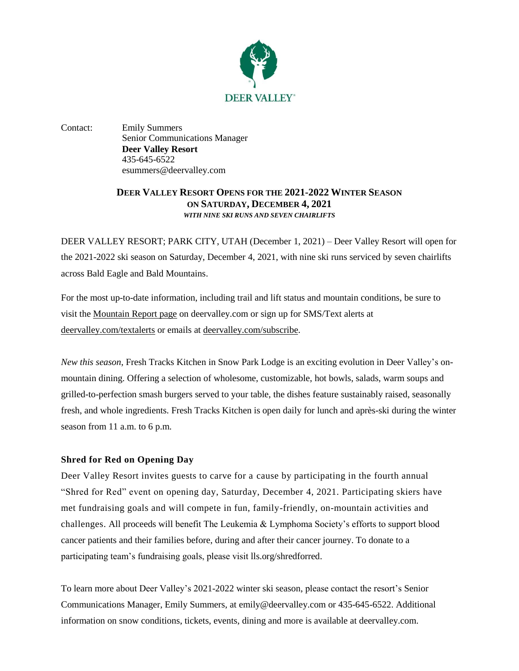

Contact: Emily Summers Senior Communications Manager **Deer Valley Resort** 435-645-6522 esummers@deervalley.com

## **DEER VALLEY RESORT OPENS FOR THE 2021-2022 WINTER SEASON ON SATURDAY, DECEMBER 4, 2021** *WITH NINE SKI RUNS AND SEVEN CHAIRLIFTS*

DEER VALLEY RESORT; PARK CITY, UTAH (December 1, 2021) – Deer Valley Resort will open for the 2021-2022 ski season on Saturday, December 4, 2021, with nine ski runs serviced by seven chairlifts across Bald Eagle and Bald Mountains.

For the most up-to-date information, including trail and lift status and mountain conditions, be sure to visit the [Mountain Report page](https://www.deervalley.com/explore-the-mountain/mountain-report#/) on deervalley.com or sign up for SMS/Text alerts at [deervalley.com/textalerts](http://www.deervalley.com/textalerts) or emails at [deervalley.com/subscribe.](http://www.deervalley.com/subscribe)

*New this season*, Fresh Tracks Kitchen in Snow Park Lodge is an exciting evolution in Deer Valley's onmountain dining. Offering a selection of wholesome, customizable, hot bowls, salads, warm soups and grilled-to-perfection smash burgers served to your table, the dishes feature sustainably raised, seasonally fresh, and whole ingredients. Fresh Tracks Kitchen is open daily for lunch and après-ski during the winter season from 11 a.m. to 6 p.m.

## **Shred for Red on Opening Day**

Deer Valley Resort invites guests to carve for a cause by participating in the fourth annual "Shred for Red" event on opening day, Saturday, December 4, 2021. Participating skiers have met fundraising goals and will compete in fun, family-friendly, on-mountain activities and challenges. All proceeds will benefit The Leukemia & Lymphoma Society's efforts to support blood cancer patients and their families before, during and after their cancer journey. To donate to a participating team's fundraising goals, please visit [lls.org/shredforred.](https://cure.lls.org/event/2021-shred-for-red/e329274)

To learn more about Deer Valley's 2021-2022 winter ski season, please contact the resort's Senior Communications Manager, Emily Summers, at emily@deervalley.com or 435-645-6522. Additional information on snow conditions, tickets, events, dining and more is available a[t deervalley.com.](http://www.deervalley.com/)